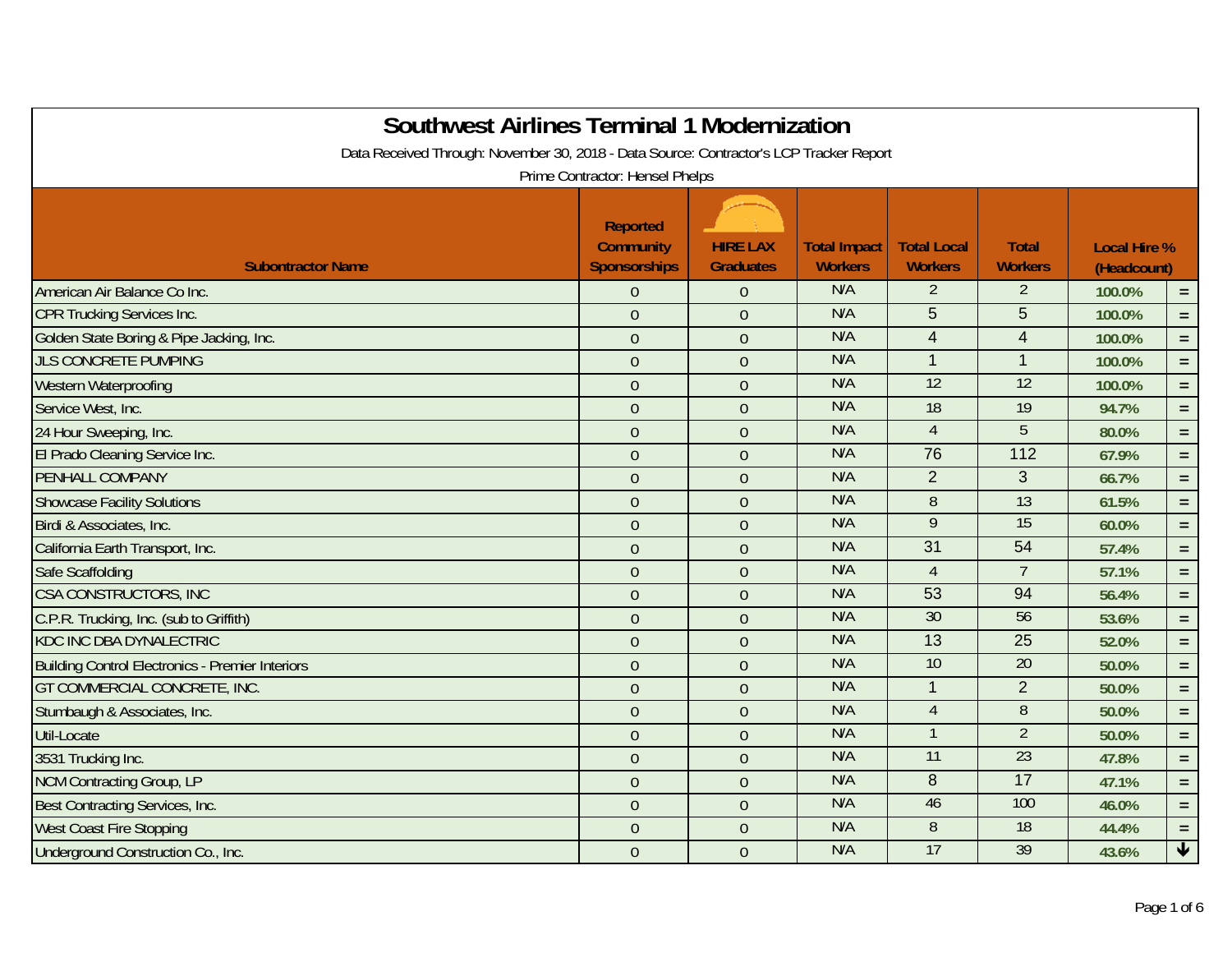| <b>Southwest Airlines Terminal 1 Modernization</b><br>Data Received Through: November 30, 2018 - Data Source: Contractor's LCP Tracker Report |                                                     |                                     |                                       |                                      |                                |                                    |                      |  |  |  |
|-----------------------------------------------------------------------------------------------------------------------------------------------|-----------------------------------------------------|-------------------------------------|---------------------------------------|--------------------------------------|--------------------------------|------------------------------------|----------------------|--|--|--|
| Prime Contractor: Hensel Phelps                                                                                                               |                                                     |                                     |                                       |                                      |                                |                                    |                      |  |  |  |
| <b>Subontractor Name</b>                                                                                                                      | <b>Reported</b><br><b>Community</b><br>Sponsorships | <b>HIRE LAX</b><br><b>Graduates</b> | <b>Total Impact</b><br><b>Workers</b> | <b>Total Local</b><br><b>Workers</b> | <b>Total</b><br><b>Workers</b> | <b>Local Hire %</b><br>(Headcount) |                      |  |  |  |
| American Air Balance Co Inc.                                                                                                                  | $\boldsymbol{0}$                                    | $\theta$                            | N/A                                   | $\overline{2}$                       | $\overline{2}$                 | 100.0%                             | $=$ .                |  |  |  |
| <b>CPR Trucking Services Inc.</b>                                                                                                             | $\boldsymbol{0}$                                    | $\mathbf{0}$                        | N/A                                   | $5\phantom{.0}$                      | 5                              | 100.0%                             | $=$                  |  |  |  |
| Golden State Boring & Pipe Jacking, Inc.                                                                                                      | $\overline{0}$                                      | $\overline{0}$                      | N/A                                   | $\overline{4}$                       | $\overline{\mathbf{4}}$        | 100.0%                             | $\equiv$             |  |  |  |
| <b>JLS CONCRETE PUMPING</b>                                                                                                                   | $\mathbf{0}$                                        | $\overline{0}$                      | N/A                                   | $\overline{1}$                       | $\overline{1}$                 | 100.0%                             | $=$                  |  |  |  |
| Western Waterproofing                                                                                                                         | $\boldsymbol{0}$                                    | $\mathbf{0}$                        | N/A                                   | 12                                   | 12                             | 100.0%                             | $=$                  |  |  |  |
| Service West, Inc.                                                                                                                            | $\mathbf{0}$                                        | $\overline{0}$                      | N/A                                   | 18                                   | 19                             | 94.7%                              | $\equiv$             |  |  |  |
| 24 Hour Sweeping, Inc.                                                                                                                        | $\boldsymbol{0}$                                    | $\mathbf{0}$                        | N/A                                   | $\overline{4}$                       | 5                              | 80.0%                              | $=$                  |  |  |  |
| El Prado Cleaning Service Inc.                                                                                                                | $\mathbf{0}$                                        | $\mathbf{0}$                        | N/A                                   | 76                                   | 112                            | 67.9%                              | $=$                  |  |  |  |
| PENHALL COMPANY                                                                                                                               | $\overline{0}$                                      | $\overline{0}$                      | N/A                                   | 2                                    | 3                              | 66.7%                              | $=$ $\,$             |  |  |  |
| <b>Showcase Facility Solutions</b>                                                                                                            | $\mathbf{0}$                                        | $\overline{0}$                      | N/A                                   | 8                                    | 13                             | 61.5%                              | $=$ $\,$             |  |  |  |
| Birdi & Associates, Inc.                                                                                                                      | $\mathbf{0}$                                        | $\mathbf{0}$                        | N/A                                   | 9                                    | 15                             | 60.0%                              | $=$                  |  |  |  |
| California Earth Transport, Inc.                                                                                                              | $\overline{0}$                                      | $\overline{0}$                      | N/A                                   | 31                                   | 54                             | 57.4%                              | $=$                  |  |  |  |
| Safe Scaffolding                                                                                                                              | $\mathbf{0}$                                        | $\mathbf{0}$                        | N/A                                   | $\overline{4}$                       | $\overline{7}$                 | 57.1%                              | $=$ $\,$             |  |  |  |
| CSA CONSTRUCTORS, INC                                                                                                                         | $\mathbf{0}$                                        | $\overline{0}$                      | N/A                                   | 53                                   | 94                             | 56.4%                              | $=$                  |  |  |  |
| C.P.R. Trucking, Inc. (sub to Griffith)                                                                                                       | $\overline{0}$                                      | $\overline{0}$                      | N/A                                   | 30                                   | 56                             | 53.6%                              | $=$                  |  |  |  |
| <b>KDC INC DBA DYNALECTRIC</b>                                                                                                                | $\overline{0}$                                      | $\overline{0}$                      | N/A                                   | $\overline{13}$                      | 25                             | 52.0%                              | $\equiv$             |  |  |  |
| <b>Building Control Electronics - Premier Interiors</b>                                                                                       | $\mathbf{0}$                                        | $\mathbf{0}$                        | N/A                                   | 10                                   | 20                             | 50.0%                              | $=$                  |  |  |  |
| GT COMMERCIAL CONCRETE, INC.                                                                                                                  | $\mathbf{0}$                                        | $\mathbf{0}$                        | N/A                                   | $\overline{1}$                       | $\overline{2}$                 | 50.0%                              | $=$ $\,$             |  |  |  |
| Stumbaugh & Associates, Inc.                                                                                                                  | $\mathbf{0}$                                        | $\overline{0}$                      | N/A                                   | $\overline{4}$                       | $\overline{8}$                 | 50.0%                              | $=$                  |  |  |  |
| Util-Locate                                                                                                                                   | $\overline{0}$                                      | $\overline{0}$                      | N/A                                   | $\overline{\phantom{0}}$             | $\overline{2}$                 | 50.0%                              | $=$ $\,$             |  |  |  |
| 3531 Trucking Inc.                                                                                                                            | $\mathbf{0}$                                        | $\overline{0}$                      | N/A                                   | 11                                   | $\overline{23}$                | 47.8%                              | $=$                  |  |  |  |
| NCM Contracting Group, LP                                                                                                                     | $\mathbf{0}$                                        | $\mathbf{0}$                        | N/A                                   | 8                                    | 17                             | 47.1%                              | $=$                  |  |  |  |
| Best Contracting Services, Inc.                                                                                                               | $\overline{0}$                                      | $\overline{0}$                      | N/A                                   | 46                                   | 100                            | 46.0%                              | $=$                  |  |  |  |
| <b>West Coast Fire Stopping</b>                                                                                                               | $\boldsymbol{0}$                                    | $\mathbf{0}$                        | N/A                                   | $\, 8$                               | 18                             | 44.4%                              | $\equiv$             |  |  |  |
| Underground Construction Co., Inc.                                                                                                            | $\mathbf{0}$                                        | $\overline{0}$                      | N/A                                   | 17                                   | 39                             | 43.6%                              | $\blacktriangledown$ |  |  |  |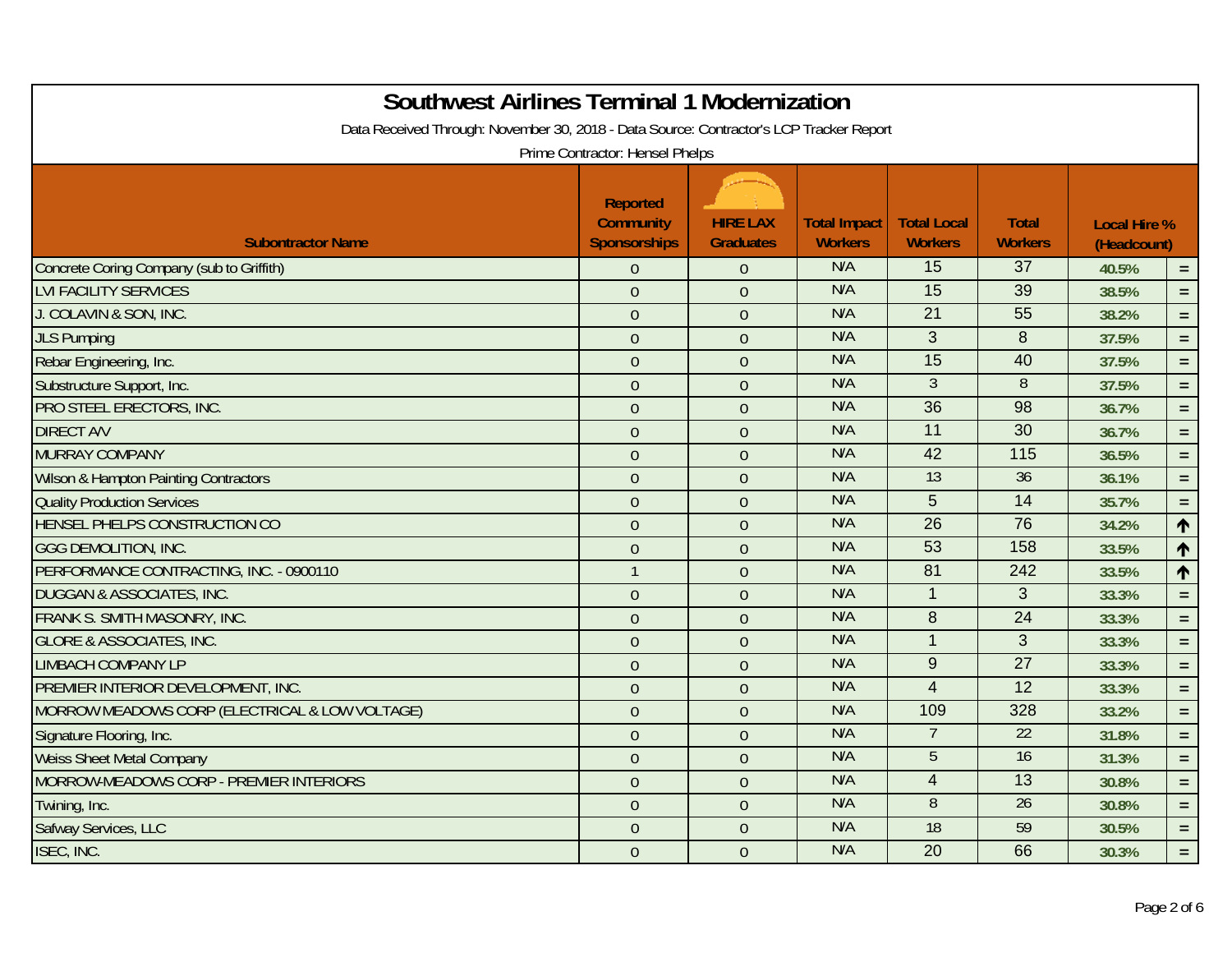| <b>Southwest Airlines Terminal 1 Modernization</b><br>Data Received Through: November 30, 2018 - Data Source: Contractor's LCP Tracker Report | Prime Contractor: Hensel Phelps                            |                                     |                                       |                                      |                                |                                    |                 |  |
|-----------------------------------------------------------------------------------------------------------------------------------------------|------------------------------------------------------------|-------------------------------------|---------------------------------------|--------------------------------------|--------------------------------|------------------------------------|-----------------|--|
| <b>Subontractor Name</b>                                                                                                                      | <b>Reported</b><br><b>Community</b><br><b>Sponsorships</b> | <b>HIRE LAX</b><br><b>Graduates</b> | <b>Total Impact</b><br><b>Workers</b> | <b>Total Local</b><br><b>Workers</b> | <b>Total</b><br><b>Workers</b> | <b>Local Hire %</b><br>(Headcount) |                 |  |
| Concrete Coring Company (sub to Griffith)                                                                                                     | $\overline{0}$                                             | $\theta$                            | N/A                                   | 15                                   | 37                             | 40.5%                              | $=$ .           |  |
| <b>LVI FACILITY SERVICES</b>                                                                                                                  | $\mathbf{0}$                                               | $\mathbf{0}$                        | N/A                                   | $\overline{15}$                      | 39                             | 38.5%                              | $=$ .           |  |
| J. COLAVIN & SON, INC.                                                                                                                        | $\mathbf{0}$                                               | $\overline{0}$                      | N/A                                   | 21                                   | 55                             | 38.2%                              | $\equiv$ .      |  |
| <b>JLS Pumping</b>                                                                                                                            | $\boldsymbol{0}$                                           | $\mathbf{0}$                        | N/A                                   | 3                                    | 8                              | 37.5%                              | $=$ .           |  |
| Rebar Engineering, Inc.                                                                                                                       | $\mathbf{0}$                                               | $\overline{0}$                      | N/A                                   | 15                                   | 40                             | 37.5%                              | $=$ .           |  |
| Substructure Support, Inc.                                                                                                                    | $\mathbf{0}$                                               | $\mathbf{0}$                        | N/A                                   | 3                                    | $\overline{8}$                 | 37.5%                              | $=$ .           |  |
| PRO STEEL ERECTORS, INC.                                                                                                                      | $\mathbf{0}$                                               | $\overline{0}$                      | N/A                                   | $\overline{36}$                      | 98                             | 36.7%                              | $=$             |  |
| <b>DIRECT A/V</b>                                                                                                                             | $\mathbf{0}$                                               | $\overline{0}$                      | N/A                                   | 11                                   | 30                             | 36.7%                              | $=$             |  |
| <b>MURRAY COMPANY</b>                                                                                                                         | $\mathbf{0}$                                               | $\overline{0}$                      | N/A                                   | 42                                   | $\frac{115}{115}$              | 36.5%                              | $=$ $\,$        |  |
| Wilson & Hampton Painting Contractors                                                                                                         | $\overline{0}$                                             | $\overline{0}$                      | N/A                                   | 13                                   | 36                             | 36.1%                              | $\equiv$        |  |
| <b>Quality Production Services</b>                                                                                                            | $\mathbf{0}$                                               | $\mathbf{0}$                        | N/A                                   | 5                                    | 14                             | 35.7%                              | $=$             |  |
| HENSEL PHELPS CONSTRUCTION CO                                                                                                                 | $\mathbf{0}$                                               | $\overline{0}$                      | N/A                                   | 26                                   | 76                             | 34.2%                              | $\uparrow$      |  |
| <b>GGG DEMOLITION, INC.</b>                                                                                                                   | $\boldsymbol{0}$                                           | $\mathbf{0}$                        | N/A                                   | 53                                   | 158                            | 33.5%                              | $\blacklozenge$ |  |
| PERFORMANCE CONTRACTING, INC. - 0900110                                                                                                       | $\overline{1}$                                             | $\overline{0}$                      | N/A                                   | $\overline{81}$                      | 242                            | 33.5%                              | $\uparrow$      |  |
| DUGGAN & ASSOCIATES, INC.                                                                                                                     | $\mathbf{0}$                                               | $\mathbf{0}$                        | N/A                                   | $\overline{1}$                       | 3                              | 33.3%                              | $=$ $\,$        |  |
| FRANK S. SMITH MASONRY, INC.                                                                                                                  | $\mathbf{0}$                                               | $\overline{0}$                      | N/A                                   | 8                                    | $\overline{24}$                | 33.3%                              | $=$             |  |
| <b>GLORE &amp; ASSOCIATES, INC.</b>                                                                                                           | $\mathbf{0}$                                               | $\mathbf{0}$                        | N/A                                   | $\overline{1}$                       | 3                              | 33.3%                              | $=$             |  |
| <b>LIMBACH COMPANY LP</b>                                                                                                                     | $\mathbf{0}$                                               | $\overline{0}$                      | N/A                                   | 9                                    | $\overline{27}$                | 33.3%                              | $\equiv$        |  |
| PREMIER INTERIOR DEVELOPMENT, INC.                                                                                                            | $\overline{0}$                                             | $\overline{0}$                      | N/A                                   | $\overline{4}$                       | $\overline{12}$                | 33.3%                              | $\equiv$        |  |
| MORROW MEADOWS CORP (ELECTRICAL & LOW VOLTAGE)                                                                                                | $\mathbf{0}$                                               | $\mathbf{0}$                        | N/A                                   | 109                                  | 328                            | 33.2%                              | $=$             |  |
| Signature Flooring, Inc.                                                                                                                      | $\mathbf{0}$                                               | $\overline{0}$                      | N/A                                   |                                      | 22                             | 31.8%                              | $=$ .           |  |
| <b>Weiss Sheet Metal Company</b>                                                                                                              | $\boldsymbol{0}$                                           | $\mathbf{0}$                        | N/A                                   | 5                                    | 16                             | 31.3%                              | $=$ $\,$        |  |
| MORROW-MEADOWS CORP - PREMIER INTERIORS                                                                                                       | $\overline{0}$                                             | $\overline{0}$                      | N/A                                   | $\overline{4}$                       | 13                             | 30.8%                              | $\equiv$        |  |
| Twining, Inc.                                                                                                                                 | $\mathbf{0}$                                               | $\mathbf{0}$                        | N/A                                   | 8                                    | 26                             | 30.8%                              | $=$             |  |
| Safway Services, LLC                                                                                                                          | $\mathbf{0}$                                               | $\mathbf{0}$                        | N/A                                   | 18                                   | 59                             | 30.5%                              | $=$ .           |  |
| ISEC, INC.                                                                                                                                    | $\mathbf{0}$                                               | $\overline{0}$                      | N/A                                   | $\overline{20}$                      | 66                             | 30.3%                              | $=$             |  |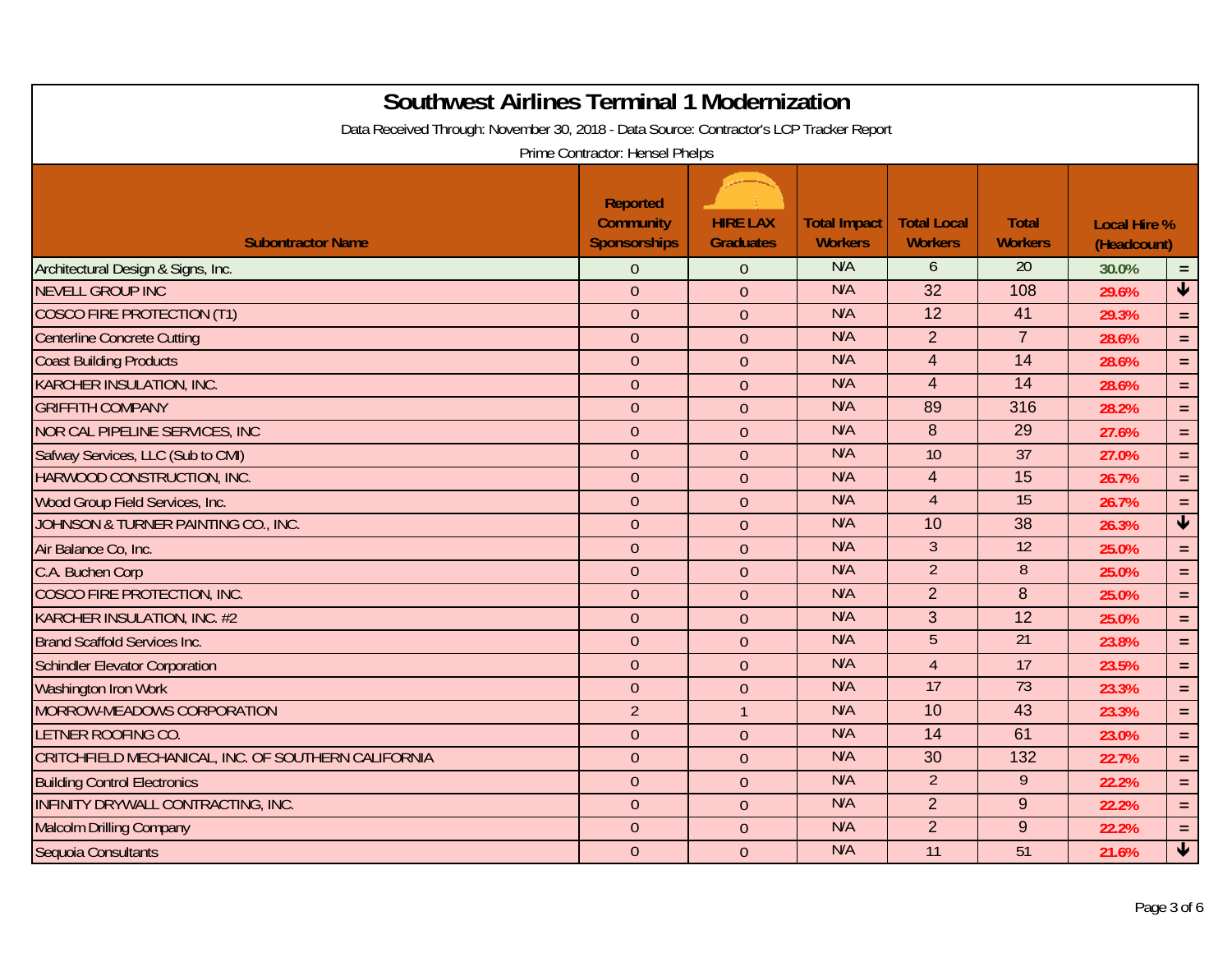| <b>Southwest Airlines Terminal 1 Modernization</b><br>Data Received Through: November 30, 2018 - Data Source: Contractor's LCP Tracker Report | Prime Contractor: Hensel Phelps                            |                                     |                                       |                                      |                                |                                    |                         |
|-----------------------------------------------------------------------------------------------------------------------------------------------|------------------------------------------------------------|-------------------------------------|---------------------------------------|--------------------------------------|--------------------------------|------------------------------------|-------------------------|
| <b>Subontractor Name</b>                                                                                                                      | <b>Reported</b><br><b>Community</b><br><b>Sponsorships</b> | <b>HIRE LAX</b><br><b>Graduates</b> | <b>Total Impact</b><br><b>Workers</b> | <b>Total Local</b><br><b>Workers</b> | <b>Total</b><br><b>Workers</b> | <b>Local Hire %</b><br>(Headcount) |                         |
| Architectural Design & Signs, Inc.                                                                                                            | $\Omega$                                                   | $\overline{0}$                      | N/A                                   | 6                                    | 20                             | 30.0%                              | $\equiv$                |
| <b>NEVELL GROUP INC</b>                                                                                                                       | $\overline{0}$                                             | $\overline{0}$                      | N/A                                   | 32                                   | 108                            | 29.6%                              | $\blacklozenge$         |
| <b>COSCO FIRE PROTECTION (T1)</b>                                                                                                             | $\theta$                                                   | $\theta$                            | N/A                                   | 12                                   | 41                             | 29.3%                              | $=$ .                   |
| <b>Centerline Concrete Cutting</b>                                                                                                            | $\theta$                                                   | $\overline{0}$                      | N/A                                   | $\overline{2}$                       | $\overline{7}$                 | 28.6%                              | $\equiv$                |
| <b>Coast Building Products</b>                                                                                                                | $\theta$                                                   | $\overline{0}$                      | N/A                                   | $\overline{4}$                       | 14                             | 28.6%                              | $\equiv$                |
| <b>KARCHER INSULATION, INC.</b>                                                                                                               | $\overline{0}$                                             | $\overline{0}$                      | N/A                                   | $\overline{4}$                       | 14                             | 28.6%                              | $\equiv$                |
| <b>GRIFFITH COMPANY</b>                                                                                                                       | $\overline{0}$                                             | $\mathbf{0}$                        | N/A                                   | 89                                   | 316                            | 28.2%                              | $\equiv$                |
| NOR CAL PIPELINE SERVICES, INC                                                                                                                | $\mathbf{0}$                                               | $\mathbf{0}$                        | N/A                                   | 8                                    | 29                             | 27.6%                              | $=$ .                   |
| Safway Services, LLC (Sub to CMI)                                                                                                             | $\mathbf{0}$                                               | $\overline{0}$                      | N/A                                   | 10                                   | 37                             | 27.0%                              | $=$ .                   |
| HARWOOD CONSTRUCTION, INC.                                                                                                                    | $\theta$                                                   | $\overline{0}$                      | N/A                                   | $\overline{4}$                       | $\overline{15}$                | 26.7%                              | $\equiv$                |
| Wood Group Field Services, Inc.                                                                                                               | $\theta$                                                   | $\overline{0}$                      | N/A                                   | $\overline{4}$                       | 15                             | 26.7%                              | $=$ .                   |
| JOHNSON & TURNER PAINTING CO., INC.                                                                                                           | $\theta$                                                   | $\mathbf{0}$                        | N/A                                   | 10                                   | 38                             | 26.3%                              | $\overline{\mathbf{t}}$ |
| Air Balance Co, Inc.                                                                                                                          | $\theta$                                                   | $\theta$                            | N/A                                   | $\overline{3}$                       | 12                             | 25.0%                              | $\equiv$                |
| C.A. Buchen Corp                                                                                                                              | $\overline{0}$                                             | $\theta$                            | N/A                                   | $\overline{2}$                       | $\overline{8}$                 | 25.0%                              | $=$ .                   |
| <b>COSCO FIRE PROTECTION, INC.</b>                                                                                                            | $\theta$                                                   | $\overline{0}$                      | N/A                                   | $\overline{2}$                       | $\delta$                       | 25.0%                              | $\equiv$                |
| KARCHER INSULATION, INC. #2                                                                                                                   | $\theta$                                                   | $\overline{0}$                      | N/A                                   | 3                                    | 12                             | 25.0%                              | $=$ .                   |
| <b>Brand Scaffold Services Inc.</b>                                                                                                           | $\theta$                                                   | $\mathbf{0}$                        | N/A                                   | 5                                    | 21                             | 23.8%                              | $=$ .                   |
| <b>Schindler Elevator Corporation</b>                                                                                                         | $\theta$                                                   | $\overline{0}$                      | N/A                                   | $\overline{4}$                       | 17                             | 23.5%                              | $\equiv$                |
| Washington Iron Work                                                                                                                          | $\overline{0}$                                             | $\overline{0}$                      | N/A                                   | 17                                   | 73                             | 23.3%                              | $\equiv$                |
| MORROW-MEADOWS CORPORATION                                                                                                                    | $\overline{2}$                                             | $\mathbf{1}$                        | N/A                                   | 10                                   | 43                             | 23.3%                              | $=$ $\,$                |
| LETNER ROOFING CO.                                                                                                                            | $\theta$                                                   | $\overline{0}$                      | N/A                                   | 14                                   | 61                             | 23.0%                              | $=$ .                   |
| CRITCHFIELD MECHANICAL, INC. OF SOUTHERN CALIFORNIA                                                                                           | $\theta$                                                   | $\theta$                            | N/A                                   | 30                                   | 132                            | 22.7%                              | $\equiv$                |
| <b>Building Control Electronics</b>                                                                                                           | $\overline{0}$                                             | $\overline{0}$                      | N/A                                   | $\overline{2}$                       | $\overline{9}$                 | 22.2%                              | $\equiv$                |
| INFINITY DRYWALL CONTRACTING, INC.                                                                                                            | $\theta$                                                   | $\mathbf{0}$                        | N/A                                   | $\overline{2}$                       | 9                              | 22.2%                              | $=$ $\,$                |
| <b>Malcolm Drilling Company</b>                                                                                                               | $\theta$                                                   | $\theta$                            | N/A                                   | $\overline{2}$                       | 9                              | 22.2%                              | $=$ .                   |
| Sequoia Consultants                                                                                                                           | $\overline{0}$                                             | $\mathbf{0}$                        | N/A                                   | 11                                   | 51                             | 21.6%                              | $\overline{\mathbf{V}}$ |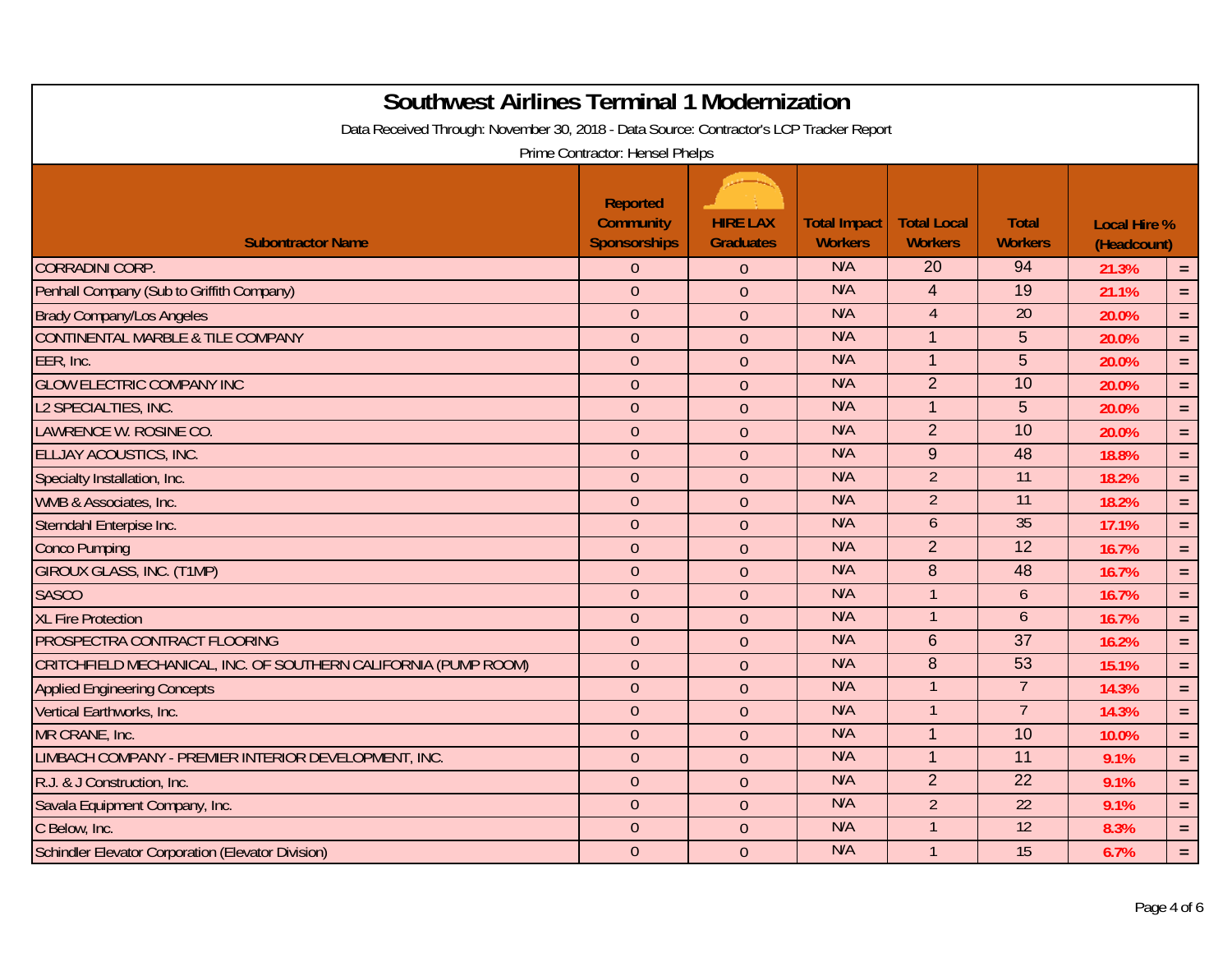| <b>Southwest Airlines Terminal 1 Modernization</b><br>Data Received Through: November 30, 2018 - Data Source: Contractor's LCP Tracker Report<br>Prime Contractor: Hensel Phelps |                                                            |                                     |                                       |                                      |                                |                                    |            |  |  |
|----------------------------------------------------------------------------------------------------------------------------------------------------------------------------------|------------------------------------------------------------|-------------------------------------|---------------------------------------|--------------------------------------|--------------------------------|------------------------------------|------------|--|--|
| <b>Subontractor Name</b>                                                                                                                                                         | <b>Reported</b><br><b>Community</b><br><b>Sponsorships</b> | <b>HIRE LAX</b><br><b>Graduates</b> | <b>Total Impact</b><br><b>Workers</b> | <b>Total Local</b><br><b>Workers</b> | <b>Total</b><br><b>Workers</b> | <b>Local Hire %</b><br>(Headcount) |            |  |  |
| <b>CORRADINI CORP.</b>                                                                                                                                                           | $\overline{0}$                                             | $\theta$                            | N/A                                   | 20                                   | 94                             | 21.3%                              | $\equiv$   |  |  |
| Penhall Company (Sub to Griffith Company)                                                                                                                                        | $\overline{0}$                                             | $\overline{0}$                      | N/A                                   | $\overline{4}$                       | 19                             | 21.1%                              | $\equiv$   |  |  |
| <b>Brady Company/Los Angeles</b>                                                                                                                                                 | $\theta$                                                   | $\mathbf{0}$                        | N/A                                   | $\overline{4}$                       | 20                             | 20.0%                              | $=$ .      |  |  |
| CONTINENTAL MARBLE & TILE COMPANY                                                                                                                                                | $\theta$                                                   | $\mathbf{0}$                        | N/A                                   | $\overline{1}$                       | 5                              | 20.0%                              | $\equiv$   |  |  |
| EER, Inc.                                                                                                                                                                        | $\theta$                                                   | $\overline{0}$                      | N/A                                   | $\overline{1}$                       | $\overline{5}$                 | 20.0%                              | $\equiv$   |  |  |
| <b>GLOW ELECTRIC COMPANY INC</b>                                                                                                                                                 | $\theta$                                                   | $\overline{0}$                      | N/A                                   | $\overline{2}$                       | 10                             | 20.0%                              | $\equiv$   |  |  |
| L2 SPECIALTIES, INC.                                                                                                                                                             | $\theta$                                                   | $\theta$                            | N/A                                   | $\overline{1}$                       | 5                              | 20.0%                              | $=$ .      |  |  |
| LAWRENCE W. ROSINE CO.                                                                                                                                                           | $\overline{0}$                                             | $\mathbf{0}$                        | N/A                                   | 2                                    | 10                             | 20.0%                              | $\equiv$ . |  |  |
| <b>ELLJAY ACOUSTICS, INC.</b>                                                                                                                                                    | $\theta$                                                   | $\theta$                            | N/A                                   | 9                                    | 48                             | 18.8%                              | $\equiv$   |  |  |
| Specialty Installation, Inc.                                                                                                                                                     | $\overline{0}$                                             | $\overline{0}$                      | N/A                                   | $\overline{2}$                       | 11                             | 18.2%                              | $=$ .      |  |  |
| WMB & Associates, Inc.                                                                                                                                                           | $\theta$                                                   | $\overline{0}$                      | N/A                                   | $\overline{2}$                       | 11                             | 18.2%                              | $\equiv$   |  |  |
| Sterndahl Enterpise Inc.                                                                                                                                                         | $\theta$                                                   | $\overline{0}$                      | N/A                                   | 6                                    | 35                             | 17.1%                              | $=$ .      |  |  |
| <b>Conco Pumping</b>                                                                                                                                                             | $\theta$                                                   | $\theta$                            | N/A                                   | $\overline{2}$                       | 12                             | 16.7%                              | $\equiv$   |  |  |
| <b>GIROUX GLASS, INC. (T1MP)</b>                                                                                                                                                 | $\overline{0}$                                             | $\overline{0}$                      | N/A                                   | 8                                    | 48                             | 16.7%                              | $\equiv$   |  |  |
| <b>SASCO</b>                                                                                                                                                                     | $\theta$                                                   | $\overline{0}$                      | N/A                                   | $\overline{1}$                       | 6                              | 16.7%                              | $\equiv$   |  |  |
| <b>XL Fire Protection</b>                                                                                                                                                        | $\theta$                                                   | $\theta$                            | N/A                                   | $\overline{1}$                       | $\mathfrak b$                  | 16.7%                              | $=$ .      |  |  |
| PROSPECTRA CONTRACT FLOORING                                                                                                                                                     | $\theta$                                                   | $\theta$                            | N/A                                   | $6\phantom{1}6$                      | 37                             | 16.2%                              | $\equiv$ . |  |  |
| CRITCHFIELD MECHANICAL, INC. OF SOUTHERN CALIFORNIA (PUMP ROOM)                                                                                                                  | $\theta$                                                   | $\theta$                            | N/A                                   | 8                                    | 53                             | 15.1%                              | $=$ .      |  |  |
| <b>Applied Engineering Concepts</b>                                                                                                                                              | $\overline{0}$                                             | $\overline{0}$                      | N/A                                   |                                      | $\overline{7}$                 | 14.3%                              | $\equiv$   |  |  |
| Vertical Earthworks, Inc.                                                                                                                                                        | $\mathbf{0}$                                               | $\overline{0}$                      | N/A                                   | $\mathbf{1}$                         | $\overline{7}$                 | 14.3%                              | $\equiv$   |  |  |
| MR CRANE, Inc.                                                                                                                                                                   | $\theta$                                                   | $\overline{0}$                      | N/A                                   | $\overline{1}$                       | 10                             | 10.0%                              | $=$ .      |  |  |
| LIMBACH COMPANY - PREMIER INTERIOR DEVELOPMENT, INC.                                                                                                                             | $\boldsymbol{0}$                                           | $\theta$                            | N/A                                   | $\overline{1}$                       | 11                             | 9.1%                               | $=$ .      |  |  |
| R.J. & J Construction, Inc.                                                                                                                                                      | $\overline{0}$                                             | $\overline{0}$                      | N/A                                   | $\overline{2}$                       | $\overline{22}$                | 9.1%                               | $\equiv$   |  |  |
| Savala Equipment Company, Inc.                                                                                                                                                   | $\theta$                                                   | $\theta$                            | N/A                                   | $\overline{2}$                       | 22                             | 9.1%                               | $=$ $\,$   |  |  |
| C Below, Inc.                                                                                                                                                                    | $\theta$                                                   | $\theta$                            | N/A                                   | $\overline{1}$                       | 12                             | 8.3%                               | $=$ .      |  |  |
| Schindler Elevator Corporation (Elevator Division)                                                                                                                               | $\overline{0}$                                             | $\theta$                            | N/A                                   | $\overline{1}$                       | 15                             | 6.7%                               | $=$        |  |  |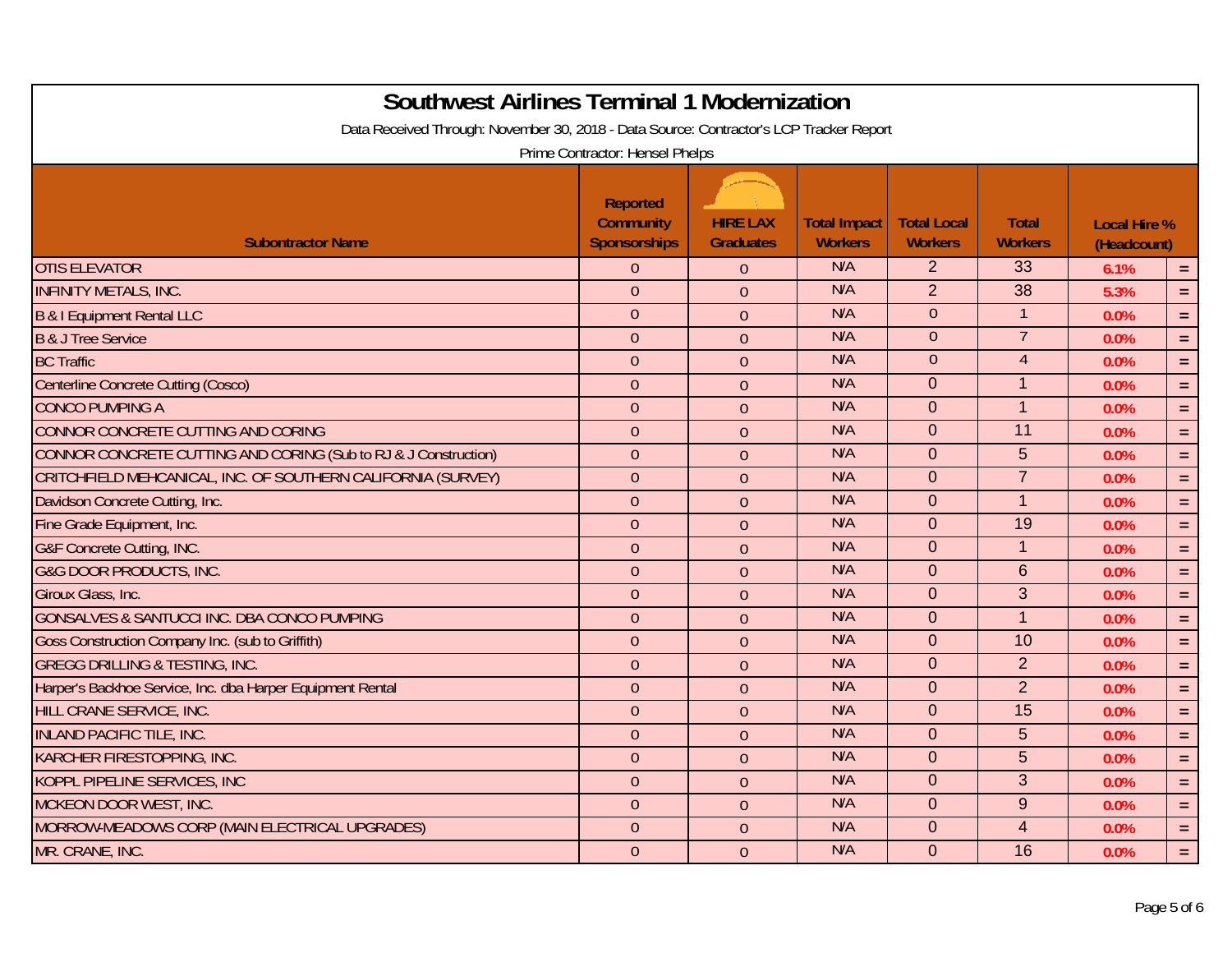| <b>Southwest Airlines Terminal 1 Modernization</b><br>Data Received Through: November 30, 2018 - Data Source: Contractor's LCP Tracker Report | Prime Contractor: Hensel Phelps                            |                                     |                                       |                                      |                                |                                    |            |
|-----------------------------------------------------------------------------------------------------------------------------------------------|------------------------------------------------------------|-------------------------------------|---------------------------------------|--------------------------------------|--------------------------------|------------------------------------|------------|
| <b>Subontractor Name</b>                                                                                                                      | <b>Reported</b><br><b>Community</b><br><b>Sponsorships</b> | <b>HIRE LAX</b><br><b>Graduates</b> | <b>Total Impact</b><br><b>Workers</b> | <b>Total Local</b><br><b>Workers</b> | <b>Total</b><br><b>Workers</b> | <b>Local Hire %</b><br>(Headcount) |            |
| <b>OTIS ELEVATOR</b>                                                                                                                          | $\overline{0}$                                             | $\mathbf{0}$                        | N/A                                   | $\overline{2}$                       | 33                             | 6.1%                               | $\equiv$   |
| <b>INFINITY METALS, INC.</b>                                                                                                                  | $\overline{0}$                                             | $\overline{0}$                      | N/A                                   | $\overline{2}$                       | $\overline{38}$                | 5.3%                               | $=$ .      |
| B & I Equipment Rental LLC                                                                                                                    | $\theta$                                                   | $\mathbf{0}$                        | N/A                                   | $\theta$                             |                                | 0.0%                               | $\equiv$   |
| <b>B &amp; J Tree Service</b>                                                                                                                 | $\theta$                                                   | $\theta$                            | N/A                                   | $\theta$                             | $\overline{7}$                 | 0.0%                               | $\equiv$   |
| <b>BC Traffic</b>                                                                                                                             | $\overline{0}$                                             | $\theta$                            | N/A                                   | $\overline{0}$                       | $\overline{4}$                 | 0.0%                               | $=$ .      |
| <b>Centerline Concrete Cutting (Cosco)</b>                                                                                                    | $\theta$                                                   | $\overline{0}$                      | N/A                                   | $\overline{0}$                       | $\mathbf{1}$                   | 0.0%                               | $=$        |
| <b>CONCO PUMPING A</b>                                                                                                                        | $\theta$                                                   | $\overline{0}$                      | N/A                                   | $\Omega$                             | $\overline{1}$                 | 0.0%                               | $\equiv$ . |
| CONNOR CONCRETE CUTTING AND CORING                                                                                                            | $\theta$                                                   | $\theta$                            | N/A                                   | $\overline{0}$                       | 11                             | 0.0%                               | $\equiv$ . |
| CONNOR CONCRETE CUTTING AND CORING (Sub to RJ & J Construction)                                                                               | $\theta$                                                   | $\overline{0}$                      | N/A                                   | $\overline{0}$                       | 5                              | 0.0%                               | $=$ $\,$   |
| CRITCHFIELD MEHCANICAL, INC. OF SOUTHERN CALIFORNIA (SURVEY)                                                                                  | $\theta$                                                   | $\overline{0}$                      | N/A                                   | $\overline{0}$                       | $\overline{7}$                 | 0.0%                               | $=$ .      |
| Davidson Concrete Cutting, Inc.                                                                                                               | $\theta$                                                   | $\overline{0}$                      | N/A                                   | $\Omega$                             | $\overline{1}$                 | 0.0%                               | $=$        |
| Fine Grade Equipment, Inc.                                                                                                                    | $\theta$                                                   | $\theta$                            | N/A                                   | $\mathbf{0}$                         | 19                             | 0.0%                               | $=$ .      |
| <b>G&amp;F Concrete Cutting, INC.</b>                                                                                                         | $\overline{0}$                                             | $\overline{0}$                      | N/A                                   | $\overline{0}$                       | $\mathbf{1}$                   | 0.0%                               | $=$ .      |
| <b>G&amp;G DOOR PRODUCTS, INC.</b>                                                                                                            | $\theta$                                                   | $\overline{0}$                      | N/A                                   | $\overline{0}$                       | $6\phantom{1}6$                | 0.0%                               | $\equiv$   |
| Giroux Glass, Inc.                                                                                                                            | $\overline{0}$                                             | $\overline{0}$                      | N/A                                   | $\Omega$                             | 3                              | 0.0%                               | $=$        |
| GONSALVES & SANTUCCI INC. DBA CONCO PUMPING                                                                                                   | $\theta$                                                   | $\mathbf{0}$                        | N/A                                   | $\overline{0}$                       | $\overline{1}$                 | 0.0%                               | $=$ .      |
| Goss Construction Company Inc. (sub to Griffith)                                                                                              | $\theta$                                                   | $\overline{0}$                      | N/A                                   | $\overline{0}$                       | 10                             | 0.0%                               | $=$ .      |
| <b>GREGG DRILLING &amp; TESTING, INC.</b>                                                                                                     | $\overline{0}$                                             | $\overline{0}$                      | N/A                                   | $\overline{0}$                       | $\overline{2}$                 | 0.0%                               | $\equiv$ . |
| Harper's Backhoe Service, Inc. dba Harper Equipment Rental                                                                                    | $\theta$                                                   | $\overline{0}$                      | N/A                                   | $\overline{0}$                       | $\overline{2}$                 | 0.0%                               | $=$ .      |
| HILL CRANE SERVICE, INC.                                                                                                                      | $\overline{0}$                                             | $\mathbf{0}$                        | N/A                                   | $\Omega$                             | 15                             | 0.0%                               | $\equiv$   |
| <b>INLAND PACIFIC TILE, INC.</b>                                                                                                              | $\theta$                                                   | $\theta$                            | N/A                                   | $\overline{0}$                       | 5                              | 0.0%                               | $\equiv$   |
| KARCHER FIRESTOPPING, INC.                                                                                                                    | $\overline{0}$                                             | $\overline{0}$                      | N/A                                   | $\overline{0}$                       | 5                              | 0.0%                               | $\equiv$ . |
| <b>KOPPL PIPELINE SERVICES, INC</b>                                                                                                           | $\mathbf{0}$                                               | $\overline{0}$                      | N/A                                   | $\overline{0}$                       | 3                              | 0.0%                               | $\equiv$   |
| MCKEON DOOR WEST, INC.                                                                                                                        | $\overline{0}$                                             | $\overline{0}$                      | N/A                                   | $\Omega$                             | 9                              | 0.0%                               | $\equiv$   |
| MORROW-MEADOWS CORP (MAIN ELECTRICAL UPGRADES)                                                                                                | $\theta$                                                   | $\theta$                            | N/A                                   | $\mathbf 0$                          | $\overline{4}$                 | 0.0%                               | $=$ $\,$   |
| MR. CRANE, INC.                                                                                                                               | $\overline{0}$                                             | $\theta$                            | N/A                                   | $\overline{0}$                       | 16                             | 0.0%                               | $=$        |